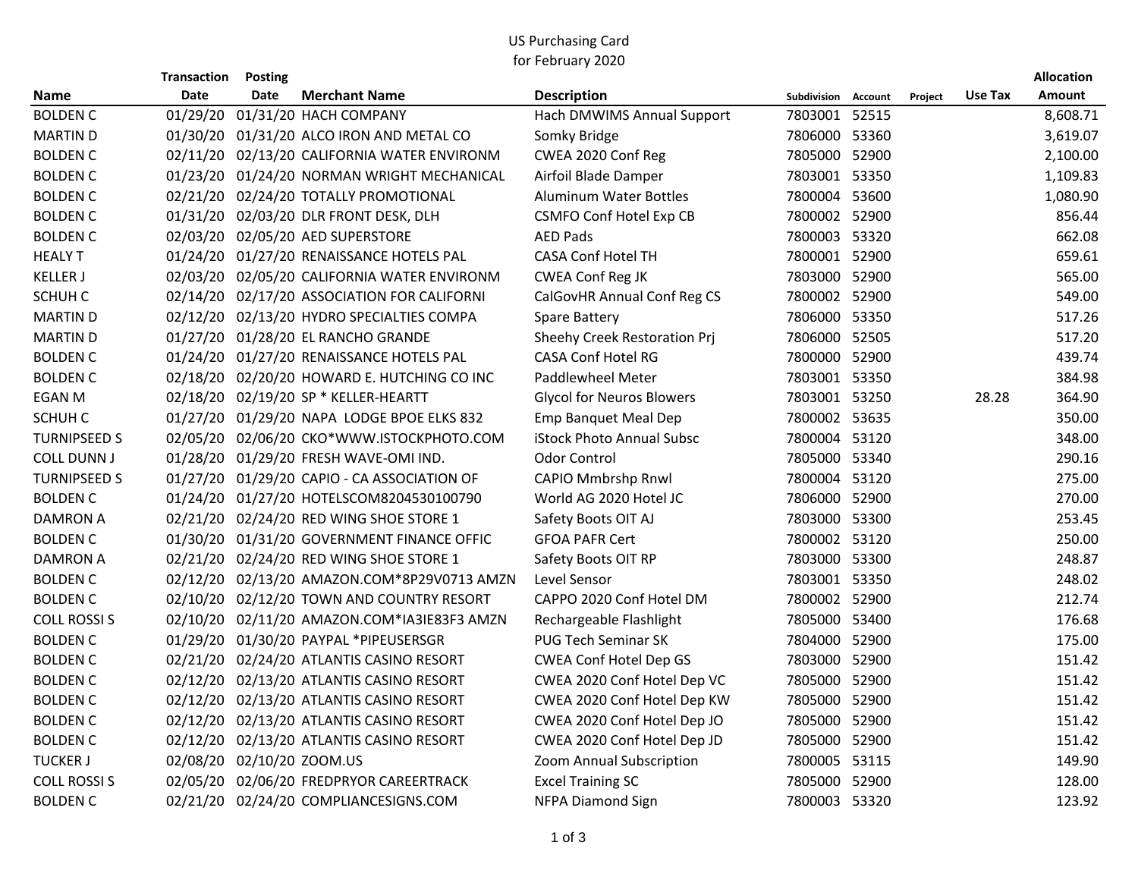## US Purchasing Card for February 2020

|                     | <b>Transaction</b> | <b>Posting</b> |                                             |                                  |                     |         |         | Allocation    |
|---------------------|--------------------|----------------|---------------------------------------------|----------------------------------|---------------------|---------|---------|---------------|
| <b>Name</b>         | Date               | Date           | <b>Merchant Name</b>                        | <b>Description</b>               | Subdivision Account | Project | Use Tax | <b>Amount</b> |
| <b>BOLDEN C</b>     |                    |                | 01/29/20 01/31/20 HACH COMPANY              | Hach DMWIMS Annual Support       | 7803001 52515       |         |         | 8,608.71      |
| <b>MARTIN D</b>     |                    |                | 01/30/20 01/31/20 ALCO IRON AND METAL CO    | Somky Bridge                     | 7806000 53360       |         |         | 3,619.07      |
| <b>BOLDEN C</b>     |                    |                | 02/11/20 02/13/20 CALIFORNIA WATER ENVIRONM | CWEA 2020 Conf Reg               | 7805000 52900       |         |         | 2,100.00      |
| <b>BOLDEN C</b>     |                    |                | 01/23/20 01/24/20 NORMAN WRIGHT MECHANICAL  | Airfoil Blade Damper             | 7803001 53350       |         |         | 1,109.83      |
| <b>BOLDEN C</b>     |                    |                | 02/21/20 02/24/20 TOTALLY PROMOTIONAL       | <b>Aluminum Water Bottles</b>    | 7800004 53600       |         |         | 1,080.90      |
| <b>BOLDEN C</b>     |                    |                | 01/31/20 02/03/20 DLR FRONT DESK, DLH       | <b>CSMFO Conf Hotel Exp CB</b>   | 7800002 52900       |         |         | 856.44        |
| <b>BOLDEN C</b>     |                    |                | 02/03/20 02/05/20 AED SUPERSTORE            | <b>AED Pads</b>                  | 7800003 53320       |         |         | 662.08        |
| <b>HEALY T</b>      |                    |                | 01/24/20 01/27/20 RENAISSANCE HOTELS PAL    | <b>CASA Conf Hotel TH</b>        | 7800001 52900       |         |         | 659.61        |
| <b>KELLER J</b>     |                    |                | 02/03/20 02/05/20 CALIFORNIA WATER ENVIRONM | <b>CWEA Conf Reg JK</b>          | 7803000 52900       |         |         | 565.00        |
| SCHUH C             |                    |                | 02/14/20 02/17/20 ASSOCIATION FOR CALIFORNI | CalGovHR Annual Conf Reg CS      | 7800002 52900       |         |         | 549.00        |
| <b>MARTIN D</b>     |                    |                | 02/12/20 02/13/20 HYDRO SPECIALTIES COMPA   | Spare Battery                    | 7806000 53350       |         |         | 517.26        |
| <b>MARTIN D</b>     |                    |                | 01/27/20 01/28/20 EL RANCHO GRANDE          | Sheehy Creek Restoration Prj     | 7806000 52505       |         |         | 517.20        |
| <b>BOLDEN C</b>     |                    |                | 01/24/20 01/27/20 RENAISSANCE HOTELS PAL    | CASA Conf Hotel RG               | 7800000 52900       |         |         | 439.74        |
| <b>BOLDEN C</b>     |                    |                | 02/18/20 02/20/20 HOWARD E. HUTCHING CO INC | Paddlewheel Meter                | 7803001 53350       |         |         | 384.98        |
| EGAN M              |                    |                | 02/18/20 02/19/20 SP * KELLER-HEARTT        | <b>Glycol for Neuros Blowers</b> | 7803001 53250       |         | 28.28   | 364.90        |
| SCHUH C             |                    |                | 01/27/20 01/29/20 NAPA LODGE BPOE ELKS 832  | <b>Emp Banquet Meal Dep</b>      | 7800002 53635       |         |         | 350.00        |
| <b>TURNIPSEED S</b> |                    |                | 02/05/20 02/06/20 CKO*WWW.ISTOCKPHOTO.COM   | iStock Photo Annual Subsc        | 7800004 53120       |         |         | 348.00        |
| <b>COLL DUNN J</b>  |                    |                | 01/28/20 01/29/20 FRESH WAVE-OMI IND.       | <b>Odor Control</b>              | 7805000 53340       |         |         | 290.16        |
| <b>TURNIPSEED S</b> |                    |                | 01/27/20 01/29/20 CAPIO - CA ASSOCIATION OF | <b>CAPIO Mmbrshp Rnwl</b>        | 7800004 53120       |         |         | 275.00        |
| <b>BOLDEN C</b>     |                    |                | 01/24/20 01/27/20 HOTELSCOM8204530100790    | World AG 2020 Hotel JC           | 7806000 52900       |         |         | 270.00        |
| DAMRON A            |                    |                | 02/21/20 02/24/20 RED WING SHOE STORE 1     | Safety Boots OIT AJ              | 7803000 53300       |         |         | 253.45        |
| <b>BOLDEN C</b>     |                    |                | 01/30/20 01/31/20 GOVERNMENT FINANCE OFFIC  | <b>GFOA PAFR Cert</b>            | 7800002 53120       |         |         | 250.00        |
| <b>DAMRON A</b>     |                    |                | 02/21/20 02/24/20 RED WING SHOE STORE 1     | Safety Boots OIT RP              | 7803000 53300       |         |         | 248.87        |
| <b>BOLDEN C</b>     |                    |                | 02/12/20 02/13/20 AMAZON.COM*8P29V0713 AMZN | Level Sensor                     | 7803001 53350       |         |         | 248.02        |
| <b>BOLDEN C</b>     |                    |                | 02/10/20 02/12/20 TOWN AND COUNTRY RESORT   | CAPPO 2020 Conf Hotel DM         | 7800002 52900       |         |         | 212.74        |
| <b>COLL ROSSIS</b>  |                    |                | 02/10/20 02/11/20 AMAZON.COM*IA3IE83F3 AMZN | Rechargeable Flashlight          | 7805000 53400       |         |         | 176.68        |
| <b>BOLDEN C</b>     |                    |                | 01/29/20 01/30/20 PAYPAL *PIPEUSERSGR       | <b>PUG Tech Seminar SK</b>       | 7804000 52900       |         |         | 175.00        |
| <b>BOLDEN C</b>     |                    |                | 02/21/20 02/24/20 ATLANTIS CASINO RESORT    | CWEA Conf Hotel Dep GS           | 7803000 52900       |         |         | 151.42        |
| <b>BOLDEN C</b>     |                    |                | 02/12/20 02/13/20 ATLANTIS CASINO RESORT    | CWEA 2020 Conf Hotel Dep VC      | 7805000 52900       |         |         | 151.42        |
| <b>BOLDEN C</b>     |                    |                | 02/12/20 02/13/20 ATLANTIS CASINO RESORT    | CWEA 2020 Conf Hotel Dep KW      | 7805000 52900       |         |         | 151.42        |
| <b>BOLDEN C</b>     |                    |                | 02/12/20 02/13/20 ATLANTIS CASINO RESORT    | CWEA 2020 Conf Hotel Dep JO      | 7805000 52900       |         |         | 151.42        |
| <b>BOLDEN C</b>     |                    |                | 02/12/20 02/13/20 ATLANTIS CASINO RESORT    | CWEA 2020 Conf Hotel Dep JD      | 7805000 52900       |         |         | 151.42        |
| <b>TUCKER J</b>     |                    |                | 02/08/20 02/10/20 ZOOM.US                   | Zoom Annual Subscription         | 7800005 53115       |         |         | 149.90        |
| <b>COLL ROSSIS</b>  |                    |                | 02/05/20 02/06/20 FREDPRYOR CAREERTRACK     | <b>Excel Training SC</b>         | 7805000 52900       |         |         | 128.00        |
| <b>BOLDEN C</b>     |                    |                | 02/21/20 02/24/20 COMPLIANCESIGNS.COM       | <b>NFPA Diamond Sign</b>         | 7800003 53320       |         |         | 123.92        |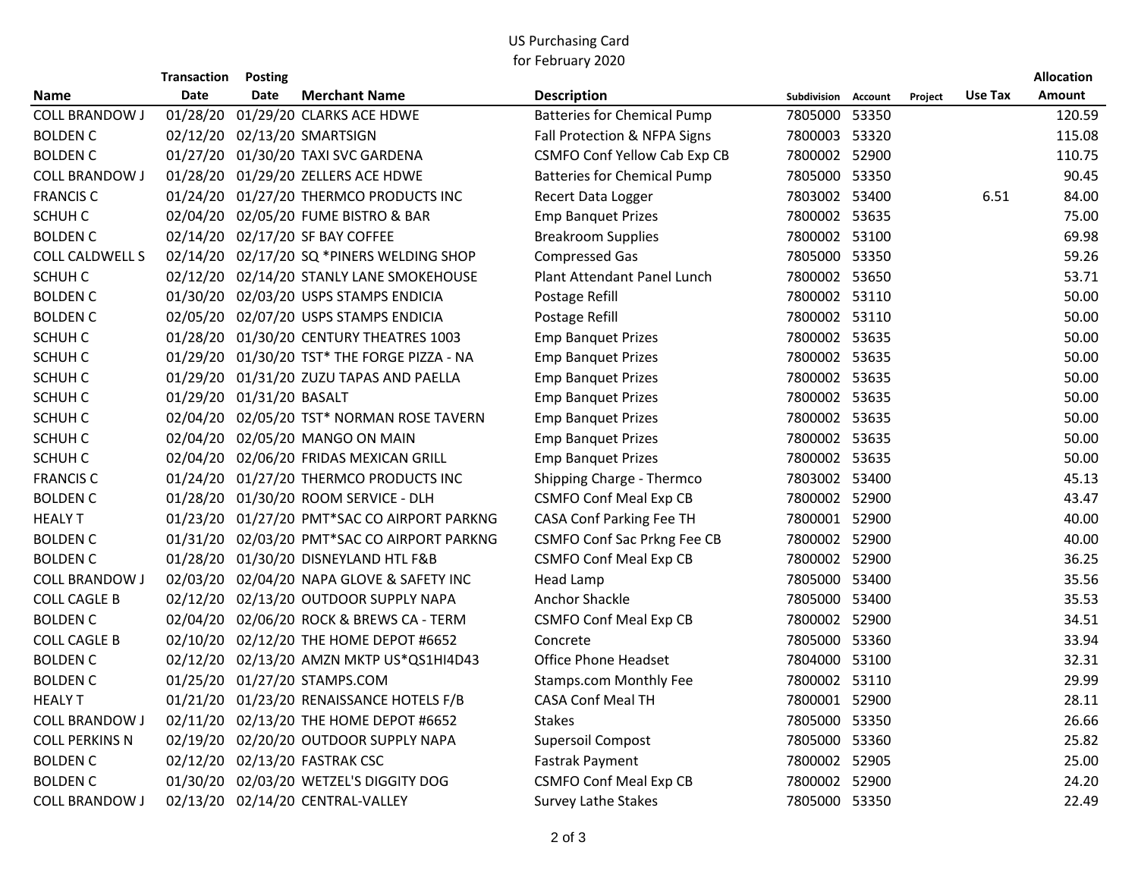## US Purchasing Card for February 2020

|                       | <b>Transaction</b>       | <b>Posting</b> |                                             |                                     |                     |         |         | <b>Allocation</b> |
|-----------------------|--------------------------|----------------|---------------------------------------------|-------------------------------------|---------------------|---------|---------|-------------------|
| Name                  | Date                     | Date           | <b>Merchant Name</b>                        | <b>Description</b>                  | Subdivision Account | Project | Use Tax | Amount            |
| <b>COLL BRANDOW J</b> | 01/28/20                 |                | 01/29/20 CLARKS ACE HDWE                    | <b>Batteries for Chemical Pump</b>  | 7805000 53350       |         |         | 120.59            |
| <b>BOLDEN C</b>       |                          |                | 02/12/20 02/13/20 SMARTSIGN                 | Fall Protection & NFPA Signs        | 7800003 53320       |         |         | 115.08            |
| <b>BOLDEN C</b>       |                          |                | 01/27/20 01/30/20 TAXI SVC GARDENA          | <b>CSMFO Conf Yellow Cab Exp CB</b> | 7800002 52900       |         |         | 110.75            |
| <b>COLL BRANDOW J</b> |                          |                | 01/28/20 01/29/20 ZELLERS ACE HDWE          | <b>Batteries for Chemical Pump</b>  | 7805000 53350       |         |         | 90.45             |
| <b>FRANCIS C</b>      |                          |                | 01/24/20 01/27/20 THERMCO PRODUCTS INC      | Recert Data Logger                  | 7803002 53400       |         | 6.51    | 84.00             |
| SCHUH C               |                          |                | 02/04/20 02/05/20 FUME BISTRO & BAR         | <b>Emp Banquet Prizes</b>           | 7800002 53635       |         |         | 75.00             |
| <b>BOLDEN C</b>       |                          |                | 02/14/20 02/17/20 SF BAY COFFEE             | <b>Breakroom Supplies</b>           | 7800002 53100       |         |         | 69.98             |
| COLL CALDWELL S       |                          |                | 02/14/20 02/17/20 SQ *PINERS WELDING SHOP   | <b>Compressed Gas</b>               | 7805000 53350       |         |         | 59.26             |
| SCHUH C               |                          |                | 02/12/20 02/14/20 STANLY LANE SMOKEHOUSE    | Plant Attendant Panel Lunch         | 7800002 53650       |         |         | 53.71             |
| <b>BOLDEN C</b>       |                          |                | 01/30/20 02/03/20 USPS STAMPS ENDICIA       | Postage Refill                      | 7800002 53110       |         |         | 50.00             |
| <b>BOLDEN C</b>       |                          |                | 02/05/20 02/07/20 USPS STAMPS ENDICIA       | Postage Refill                      | 7800002 53110       |         |         | 50.00             |
| SCHUH C               |                          |                | 01/28/20 01/30/20 CENTURY THEATRES 1003     | <b>Emp Banquet Prizes</b>           | 7800002 53635       |         |         | 50.00             |
| SCHUH C               |                          |                | 01/29/20 01/30/20 TST* THE FORGE PIZZA - NA | <b>Emp Banquet Prizes</b>           | 7800002 53635       |         |         | 50.00             |
| SCHUH C               |                          |                | 01/29/20 01/31/20 ZUZU TAPAS AND PAELLA     | <b>Emp Banquet Prizes</b>           | 7800002 53635       |         |         | 50.00             |
| SCHUH C               | 01/29/20 01/31/20 BASALT |                |                                             | <b>Emp Banquet Prizes</b>           | 7800002 53635       |         |         | 50.00             |
| SCHUH C               |                          |                | 02/04/20 02/05/20 TST* NORMAN ROSE TAVERN   | <b>Emp Banquet Prizes</b>           | 7800002 53635       |         |         | 50.00             |
| SCHUH C               |                          |                | 02/04/20 02/05/20 MANGO ON MAIN             | <b>Emp Banquet Prizes</b>           | 7800002 53635       |         |         | 50.00             |
| SCHUH C               |                          |                | 02/04/20 02/06/20 FRIDAS MEXICAN GRILL      | <b>Emp Banquet Prizes</b>           | 7800002 53635       |         |         | 50.00             |
| <b>FRANCIS C</b>      |                          |                | 01/24/20 01/27/20 THERMCO PRODUCTS INC      | Shipping Charge - Thermco           | 7803002 53400       |         |         | 45.13             |
| <b>BOLDEN C</b>       |                          |                | 01/28/20 01/30/20 ROOM SERVICE - DLH        | <b>CSMFO Conf Meal Exp CB</b>       | 7800002 52900       |         |         | 43.47             |
| <b>HEALY T</b>        |                          |                | 01/23/20 01/27/20 PMT*SAC CO AIRPORT PARKNG | CASA Conf Parking Fee TH            | 7800001 52900       |         |         | 40.00             |
| <b>BOLDEN C</b>       |                          |                | 01/31/20 02/03/20 PMT*SAC CO AIRPORT PARKNG | <b>CSMFO Conf Sac Prkng Fee CB</b>  | 7800002 52900       |         |         | 40.00             |
| <b>BOLDEN C</b>       |                          |                | 01/28/20 01/30/20 DISNEYLAND HTL F&B        | <b>CSMFO Conf Meal Exp CB</b>       | 7800002 52900       |         |         | 36.25             |
| <b>COLL BRANDOW J</b> |                          |                | 02/03/20 02/04/20 NAPA GLOVE & SAFETY INC   | <b>Head Lamp</b>                    | 7805000 53400       |         |         | 35.56             |
| <b>COLL CAGLE B</b>   |                          |                | 02/12/20 02/13/20 OUTDOOR SUPPLY NAPA       | Anchor Shackle                      | 7805000 53400       |         |         | 35.53             |
| <b>BOLDEN C</b>       |                          |                | 02/04/20 02/06/20 ROCK & BREWS CA - TERM    | <b>CSMFO Conf Meal Exp CB</b>       | 7800002 52900       |         |         | 34.51             |
| <b>COLL CAGLE B</b>   | 02/10/20                 |                | 02/12/20 THE HOME DEPOT #6652               | Concrete                            | 7805000 53360       |         |         | 33.94             |
| <b>BOLDEN C</b>       |                          |                | 02/12/20 02/13/20 AMZN MKTP US*QS1HI4D43    | <b>Office Phone Headset</b>         | 7804000 53100       |         |         | 32.31             |
| <b>BOLDEN C</b>       |                          |                | 01/25/20 01/27/20 STAMPS.COM                | <b>Stamps.com Monthly Fee</b>       | 7800002 53110       |         |         | 29.99             |
| <b>HEALY T</b>        |                          |                | 01/21/20 01/23/20 RENAISSANCE HOTELS F/B    | <b>CASA Conf Meal TH</b>            | 7800001 52900       |         |         | 28.11             |
| <b>COLL BRANDOW J</b> |                          |                | 02/11/20 02/13/20 THE HOME DEPOT #6652      | <b>Stakes</b>                       | 7805000 53350       |         |         | 26.66             |
| <b>COLL PERKINS N</b> |                          |                | 02/19/20 02/20/20 OUTDOOR SUPPLY NAPA       | Supersoil Compost                   | 7805000 53360       |         |         | 25.82             |
| <b>BOLDEN C</b>       |                          |                | 02/12/20 02/13/20 FASTRAK CSC               | Fastrak Payment                     | 7800002 52905       |         |         | 25.00             |
| <b>BOLDEN C</b>       |                          |                | 01/30/20 02/03/20 WETZEL'S DIGGITY DOG      | <b>CSMFO Conf Meal Exp CB</b>       | 7800002 52900       |         |         | 24.20             |
| <b>COLL BRANDOW J</b> |                          |                | 02/13/20 02/14/20 CENTRAL-VALLEY            | <b>Survey Lathe Stakes</b>          | 7805000 53350       |         |         | 22.49             |